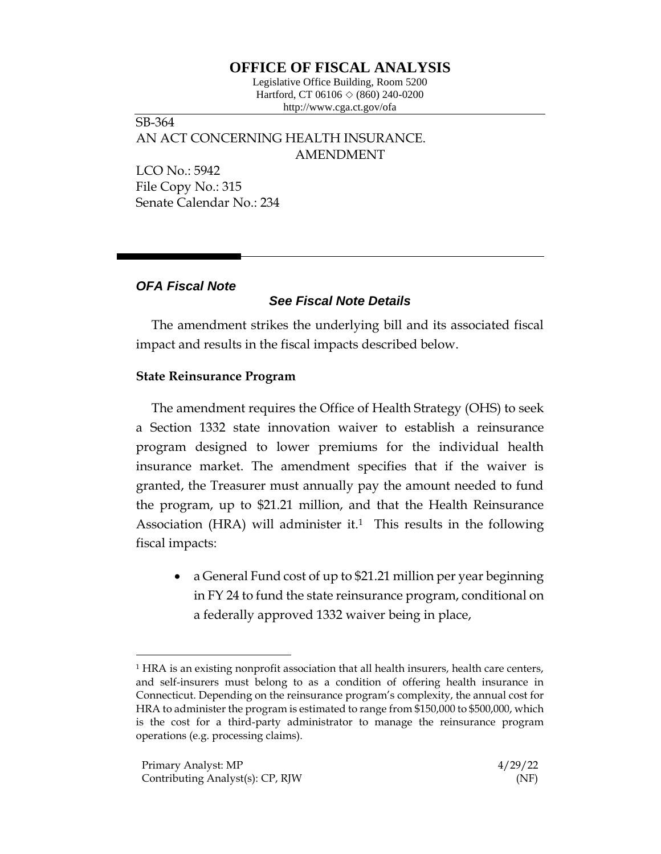# **OFFICE OF FISCAL ANALYSIS**

Legislative Office Building, Room 5200 Hartford, CT 06106  $\Diamond$  (860) 240-0200 http://www.cga.ct.gov/ofa

SB-364 AN ACT CONCERNING HEALTH INSURANCE. AMENDMENT

LCO No.: 5942 File Copy No.: 315 Senate Calendar No.: 234

### *OFA Fiscal Note*

# *See Fiscal Note Details*

The amendment strikes the underlying bill and its associated fiscal impact and results in the fiscal impacts described below.

### **State Reinsurance Program**

The amendment requires the Office of Health Strategy (OHS) to seek a Section 1332 state innovation waiver to establish a reinsurance program designed to lower premiums for the individual health insurance market. The amendment specifies that if the waiver is granted, the Treasurer must annually pay the amount needed to fund the program, up to \$21.21 million, and that the Health Reinsurance Association (HRA) will administer it.<sup>1</sup> This results in the following fiscal impacts:

• a General Fund cost of up to \$21.21 million per year beginning in FY 24 to fund the state reinsurance program, conditional on a federally approved 1332 waiver being in place,

<sup>&</sup>lt;sup>1</sup> HRA is an existing nonprofit association that all health insurers, health care centers, and self-insurers must belong to as a condition of offering health insurance in Connecticut. Depending on the reinsurance program's complexity, the annual cost for HRA to administer the program is estimated to range from \$150,000 to \$500,000, which is the cost for a third-party administrator to manage the reinsurance program operations (e.g. processing claims).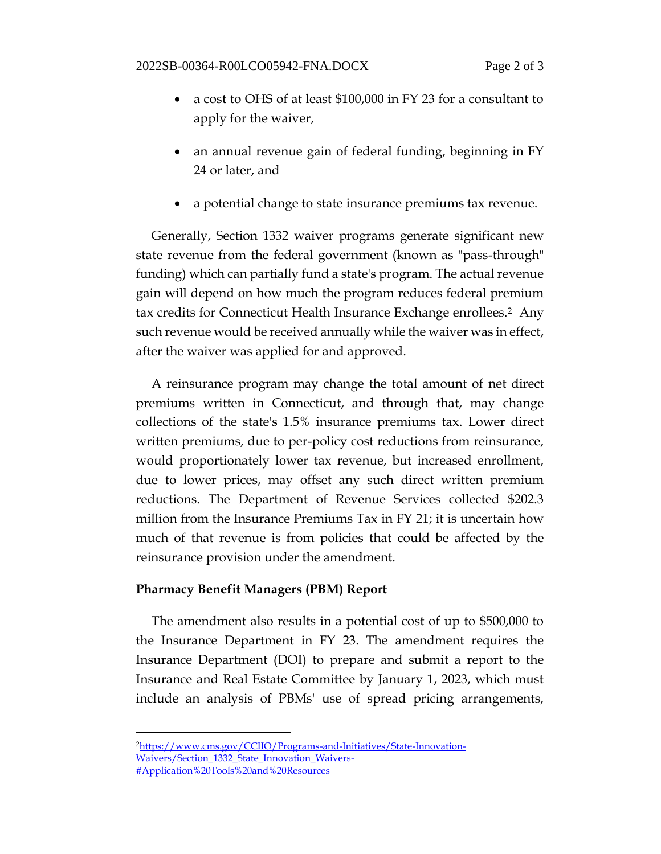- a cost to OHS of at least \$100,000 in FY 23 for a consultant to apply for the waiver,
- an annual revenue gain of federal funding, beginning in FY 24 or later, and
- a potential change to state insurance premiums tax revenue.

Generally, Section 1332 waiver programs generate significant new state revenue from the federal government (known as "pass-through" funding) which can partially fund a state's program. The actual revenue gain will depend on how much the program reduces federal premium tax credits for Connecticut Health Insurance Exchange enrollees.2 Any such revenue would be received annually while the waiver was in effect, after the waiver was applied for and approved.

A reinsurance program may change the total amount of net direct premiums written in Connecticut, and through that, may change collections of the state's 1.5% insurance premiums tax. Lower direct written premiums, due to per-policy cost reductions from reinsurance, would proportionately lower tax revenue, but increased enrollment, due to lower prices, may offset any such direct written premium reductions. The Department of Revenue Services collected \$202.3 million from the Insurance Premiums Tax in FY 21; it is uncertain how much of that revenue is from policies that could be affected by the reinsurance provision under the amendment.

## **Pharmacy Benefit Managers (PBM) Report**

The amendment also results in a potential cost of up to \$500,000 to the Insurance Department in FY 23. The amendment requires the Insurance Department (DOI) to prepare and submit a report to the Insurance and Real Estate Committee by January 1, 2023, which must include an analysis of PBMs' use of spread pricing arrangements,

<sup>2</sup>[https://www.cms.gov/CCIIO/Programs-and-Initiatives/State-Innovation-](https://www.cms.gov/CCIIO/Programs-and-Initiatives/State-Innovation-Waivers/Section_1332_State_Innovation_Waivers-#Application%20Tools%20and%20Resources)[Waivers/Section\\_1332\\_State\\_Innovation\\_Waivers-](https://www.cms.gov/CCIIO/Programs-and-Initiatives/State-Innovation-Waivers/Section_1332_State_Innovation_Waivers-#Application%20Tools%20and%20Resources) [#Application%20Tools%20and%20Resources](https://www.cms.gov/CCIIO/Programs-and-Initiatives/State-Innovation-Waivers/Section_1332_State_Innovation_Waivers-#Application%20Tools%20and%20Resources)